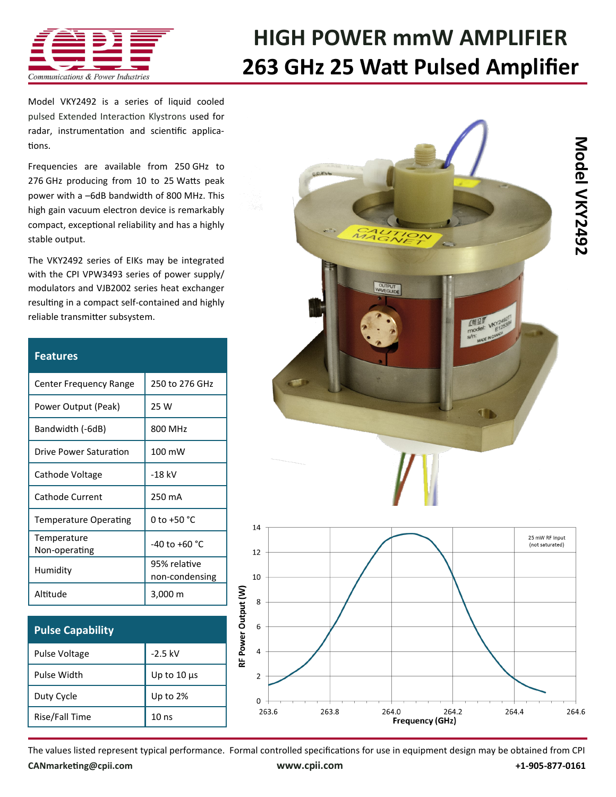

## **[HIGH POWER mmW AMPLIFIER](http://www.cpii.com/product.cfm/7/40) 263 GHz 25 Watt Pulsed Amplifier**

Model VKY2492 is a series of liquid cooled [pulsed Extended Interaction Klystrons](http://www.cpii.com/product.cfm/7/40/158) used for radar, instrumentation and scientific applications.

Frequencies are available from 250 GHz to 276 GHz producing from 10 to 25 Watts peak power with a –6dB bandwidth of 800 MHz. This high gain vacuum electron device is remarkably compact, exceptional reliability and has a highly stable output.

The VKY2492 series of EIKs may be integrated with the [CPI VPW3493 series of power supply/](http://www.cpii.com/product.cfm/7/40/282) [modulators a](http://www.cpii.com/product.cfm/7/40/282)nd [VJB2002 series heat exchanger](http://www.cpii.com/docs/datasheets/283/VJB2002%20Datasheet.pdf)  resulting in a compact self-contained and highly reliable transmitter subsystem.

| <b>Features</b>              |                                |
|------------------------------|--------------------------------|
| Center Frequency Range       | 250 to 276 GHz                 |
| Power Output (Peak)          | 25 W                           |
| Bandwidth (-6dB)             | 800 MHz                        |
| Drive Power Saturation       | 100 mW                         |
| Cathode Voltage              | $-18$ kV                       |
| Cathode Current              | 250 mA                         |
| <b>Temperature Operating</b> | 0 to +50 $^{\circ}$ C          |
| Temperature<br>Non-operating | $-40$ to $+60$ °C              |
| Humidity                     | 95% relative<br>non-condensing |
| Altitude                     | 3,000 m                        |

| <b>Pulse Capability</b> |                  |
|-------------------------|------------------|
| Pulse Voltage           | $-2.5$ kV        |
| Pulse Width             | Up to $10 \mu s$ |
| Duty Cycle              | Up to $2%$       |
| Rise/Fall Time          | 10 <sub>ns</sub> |



The values listed represent typical performance. Formal controlled specifications for use in equipment design may be obtained from CPI **[CANmarketing@cpii.com](mailto:CANmarketing@cpii.com) [www.cpii.com](http://www.cpii.com) +1-905-877-0161**

RF Power Output (W)